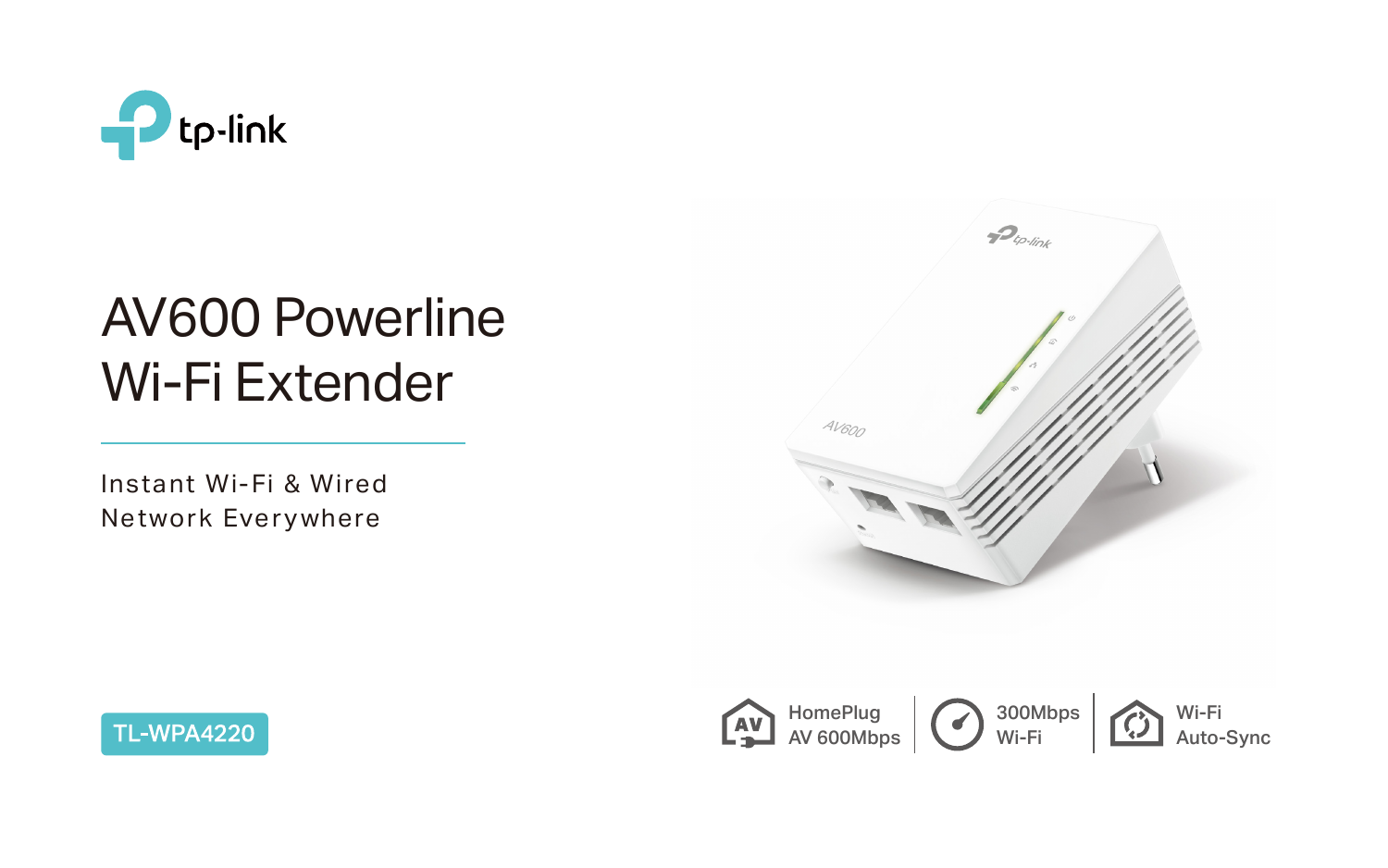

# AV600 Powerline Wi-Fi Extender

Instant Wi-Fi & Wired Network Everywhere







300Mbps Wi-Fi Wi-Fi Auto-Sync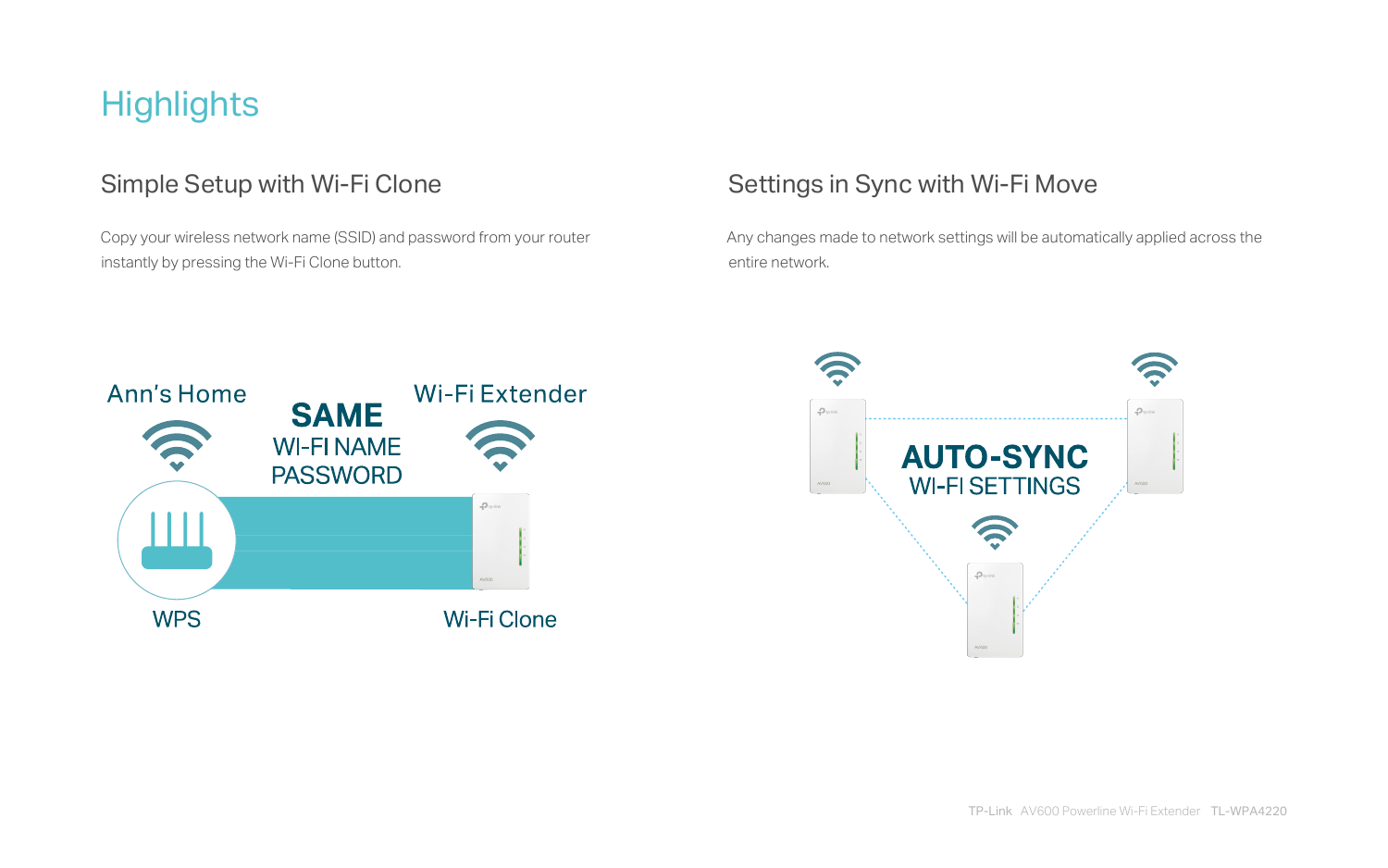# **Highlights**

 Copy your wireless network name (SSID) and password from your router instantly by pressing the Wi-Fi Clone button.

### Simple Setup with Wi-Fi Clone Sumple Settings in Sync with Wi-Fi Move

Any changes made to network settings will be automatically applied across the



entire network.



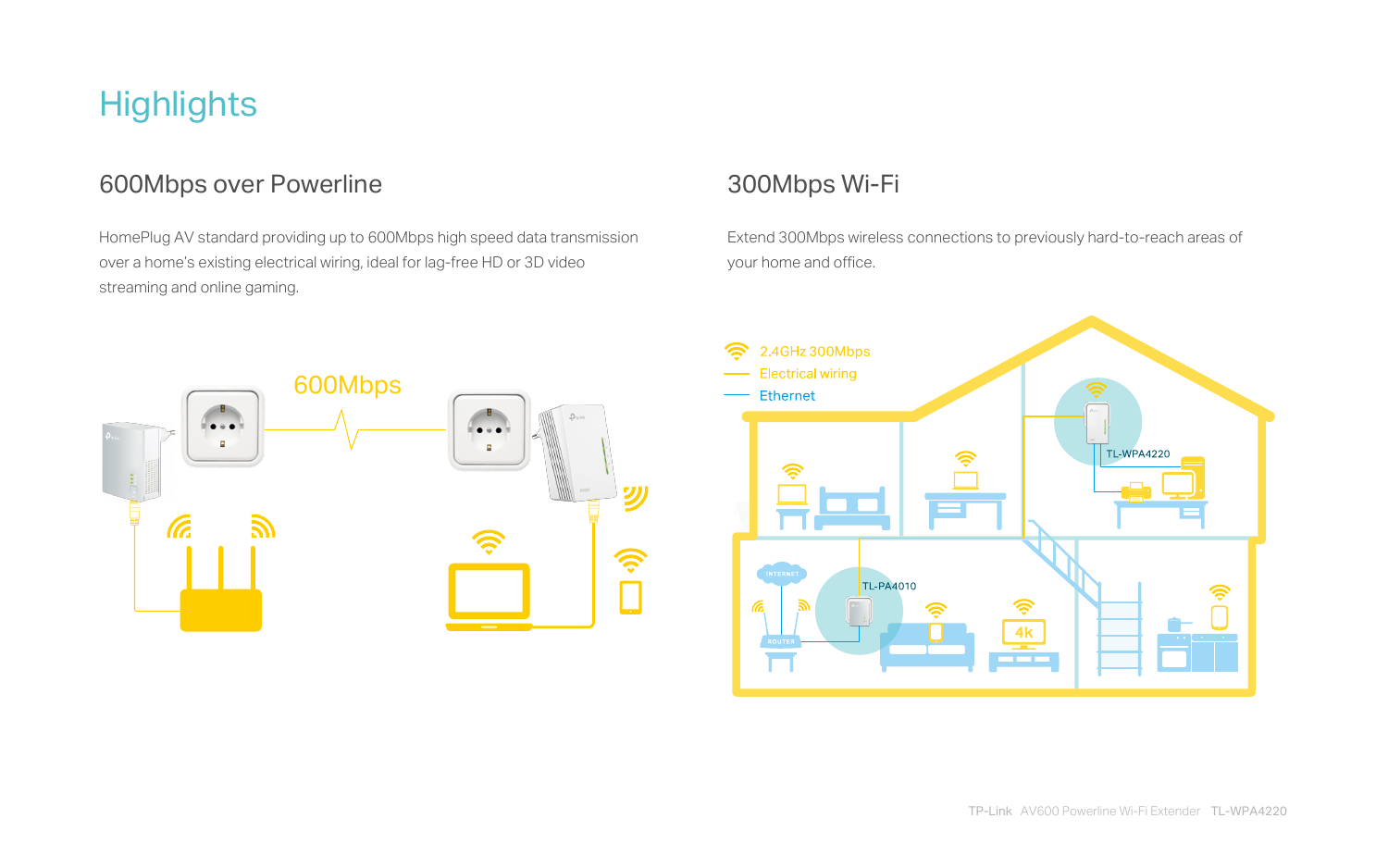HomePlug AV standard providing up to 600Mbps high speed data transmission over a home's existing electrical wiring, ideal for lag-free HD or 3D video streaming and online gaming.

Extend 300Mbps wireless connections to previously hard-to-reach areas of your home and office.

# **Highlights**

#### 600Mbps over Powerline 300Mbps Wi-Fi



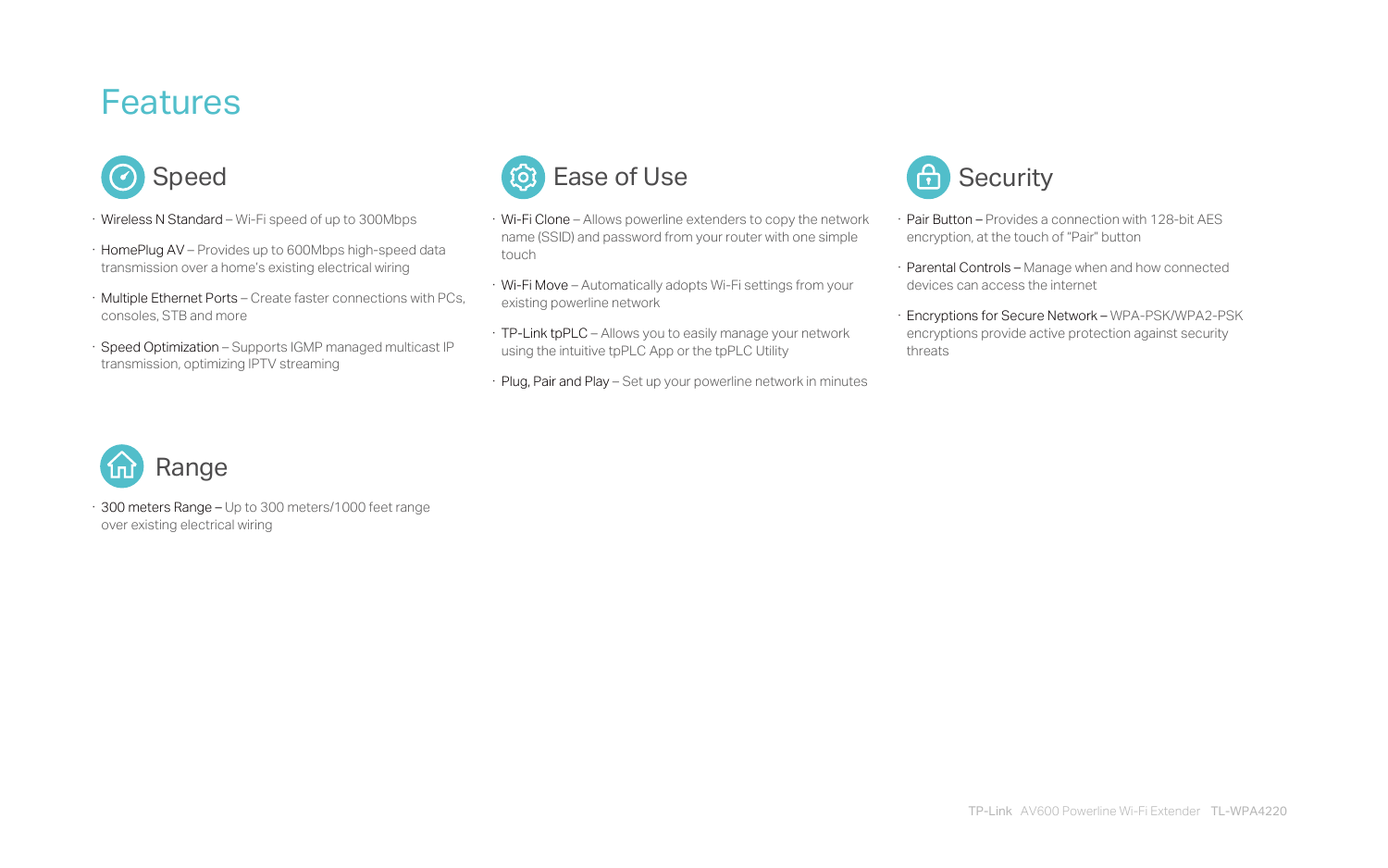- · Wireless N Standard Wi-Fi speed of up to 300Mbps
- · HomePlug AV Provides up to 600Mbps high-speed data transmission over a home's existing electrical wiring
- · Multiple Ethernet Ports Create faster connections with PCs, consoles, STB and more
- · Speed Optimization Supports IGMP managed multicast IP transmission, optimizing IPTV streaming

## **Features**



- · Wi-Fi Clone Allows powerline extenders to copy the network name (SSID) and password from your router with one simple touch
- · Wi-Fi Move Automatically adopts Wi-Fi settings from your existing powerline network
- · TP-Link tpPLC Allows you to easily manage your network using the intuitive tpPLC App or the tpPLC Utility
- · Plug, Pair and Play Set up your powerline network in minutes



- · Pair Button Provides a connection with 128-bit AES encryption, at the touch of "Pair" button
- · Parental Controls Manage when and how connected devices can access the internet
- · Encryptions for Secure Network WPA-PSK/WPA2-PSK encryptions provide active protection against security threats



· 300 meters Range – Up to 300 meters/1000 feet range over existing electrical wiring

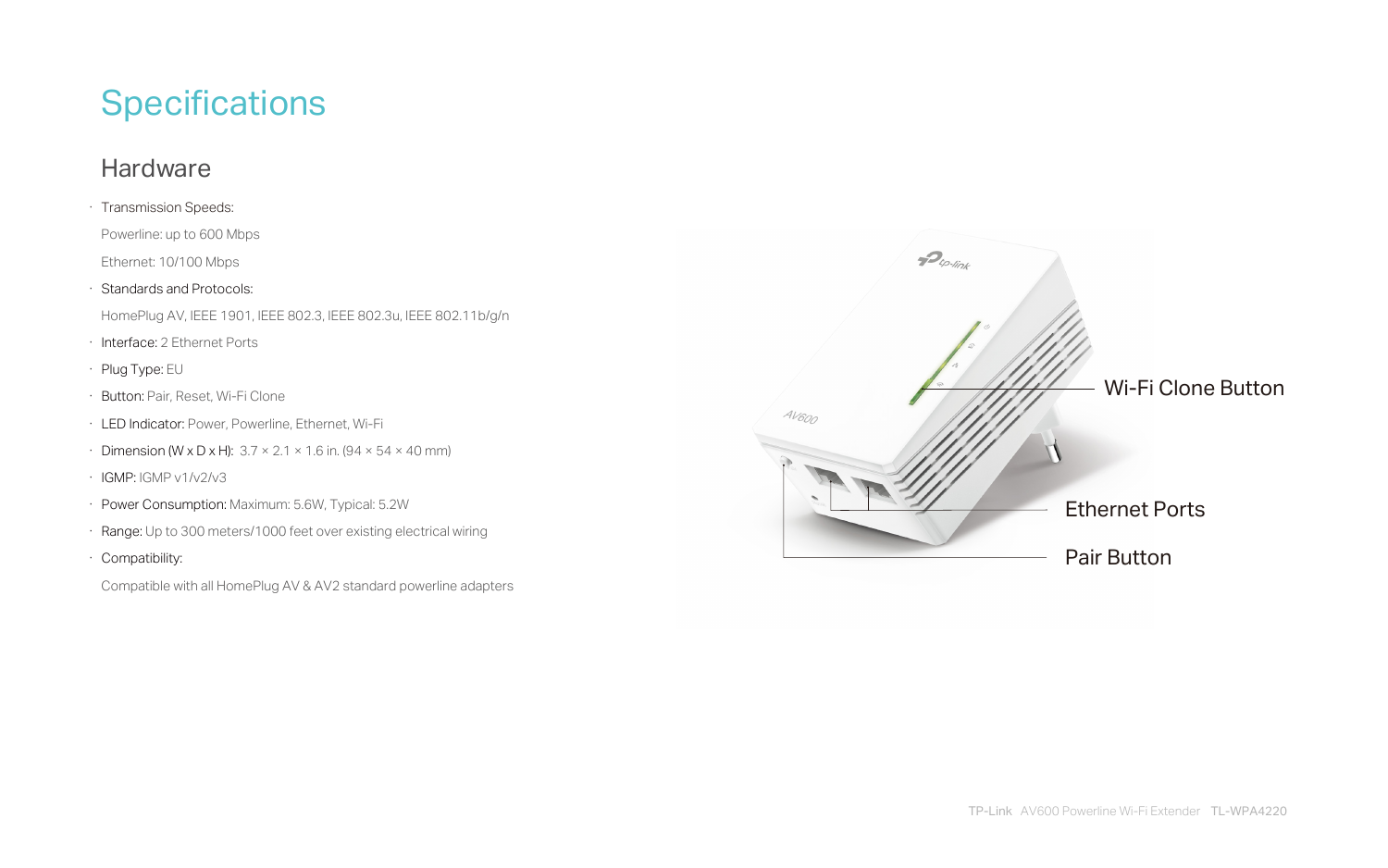# **Specifications**

#### **Hardware**



- · Transmission Speeds:
- Powerline: up to 600 Mbps
- Ethernet: 10/100 Mbps
- · Standards and Protocols:
- HomePlug AV, IEEE 1901, IEEE 802.3, IEEE 802.3u, IEEE 802.11b/g/n
- · Interface: 2 Ethernet Ports
- · Plug Type: EU
- · Button: Pair, Reset, Wi-Fi Clone
- · LED Indicator: Power, Powerline, Ethernet, Wi-Fi
- · Dimension (W x D x H):  $3.7 \times 2.1 \times 1.6$  in. (94  $\times$  54  $\times$  40 mm)
- · IGMP: IGMP v1/v2/v3
- · Power Consumption: Maximum: 5.6W, Typical: 5.2W
- · Range: Up to 300 meters/1000 feet over existing electrical wiring
- · Compatibility:

Compatible with all HomePlug AV & AV2 standard powerline adapters